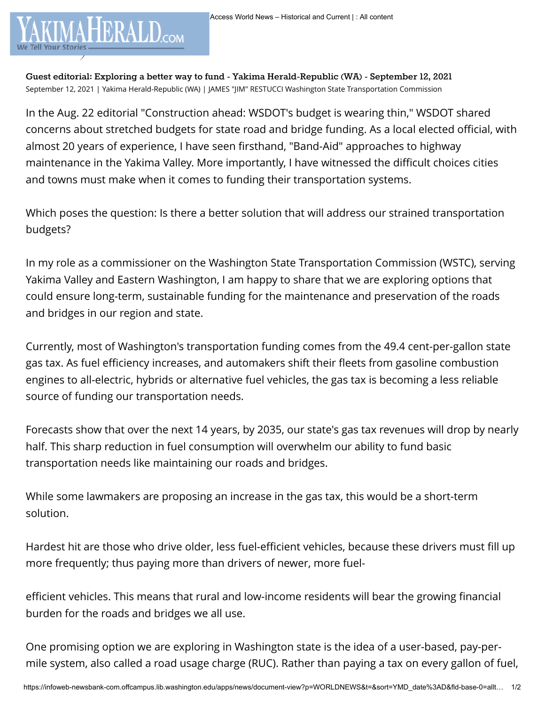**Guest editorial: Exploring a better way to fund - Yakima Herald-Republic (WA) - September 12, 2021** September 12, 2021 | Yakima Herald-Republic (WA) | JAMES "JIM" RESTUCCI Washington State Transportation Commission

We Tell Your Stories

In the Aug. 22 editorial "Construction ahead: WSDOT's budget is wearing thin," WSDOT shared concerns about stretched budgets for state road and bridge funding. As a local elected official, with almost 20 years of experience, I have seen firsthand, "Band-Aid" approaches to highway maintenance in the Yakima Valley. More importantly, I have witnessed the difficult choices cities and towns must make when it comes to funding their transportation systems.

Which poses the question: Is there a better solution that will address our strained transportation budgets?

In my role as a commissioner on the Washington State Transportation Commission (WSTC), serving Yakima Valley and Eastern Washington, I am happy to share that we are exploring options that could ensure long-term, sustainable funding for the maintenance and preservation of the roads and bridges in our region and state.

Currently, most of Washington's transportation funding comes from the 49.4 cent-per-gallon state gas tax. As fuel efficiency increases, and automakers shift their fleets from gasoline combustion engines to all-electric, hybrids or alternative fuel vehicles, the gas tax is becoming a less reliable source of funding our transportation needs.

Forecasts show that over the next 14 years, by 2035, our state's gas tax revenues will drop by nearly half. This sharp reduction in fuel consumption will overwhelm our ability to fund basic transportation needs like maintaining our roads and bridges.

While some lawmakers are proposing an increase in the gas tax, this would be a short-term solution.

Hardest hit are those who drive older, less fuel-efficient vehicles, because these drivers must fill up more frequently; thus paying more than drivers of newer, more fuel-

efficient vehicles. This means that rural and low-income residents will bear the growing financial burden for the roads and bridges we all use.

One promising option we are exploring in Washington state is the idea of a user-based, pay-permile system, also called a road usage charge (RUC). Rather than paying a tax on every gallon of fuel,